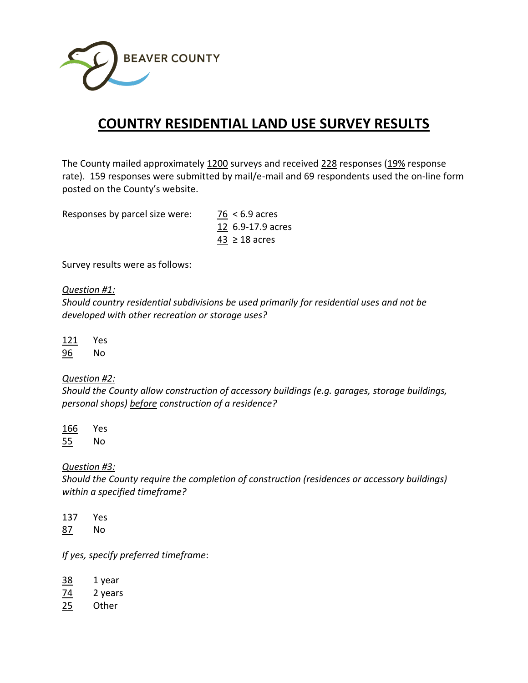

# **COUNTRY RESIDENTIAL LAND USE SURVEY RESULTS**

The County mailed approximately 1200 surveys and received 228 responses (19% response rate). 159 responses were submitted by mail/e-mail and 69 respondents used the on-line form posted on the County's website.

Responses by parcel size were: 76 < 6.9 acres

12 6.9-17.9 acres 43 ≥ 18 acres

Survey results were as follows:

*Question #1:*

*Should country residential subdivisions be used primarily for residential uses and not be developed with other recreation or storage uses?*

121 Yes

96 No

*Question #2:*

*Should the County allow construction of accessory buildings (e.g. garages, storage buildings, personal shops) before construction of a residence?*

166 Yes

55 No

*Question #3:*

*Should the County require the completion of construction (residences or accessory buildings) within a specified timeframe?*

137 Yes

87 No

*If yes, specify preferred timeframe*:

- 38 1 year
- 74 2 years
- 25 Other